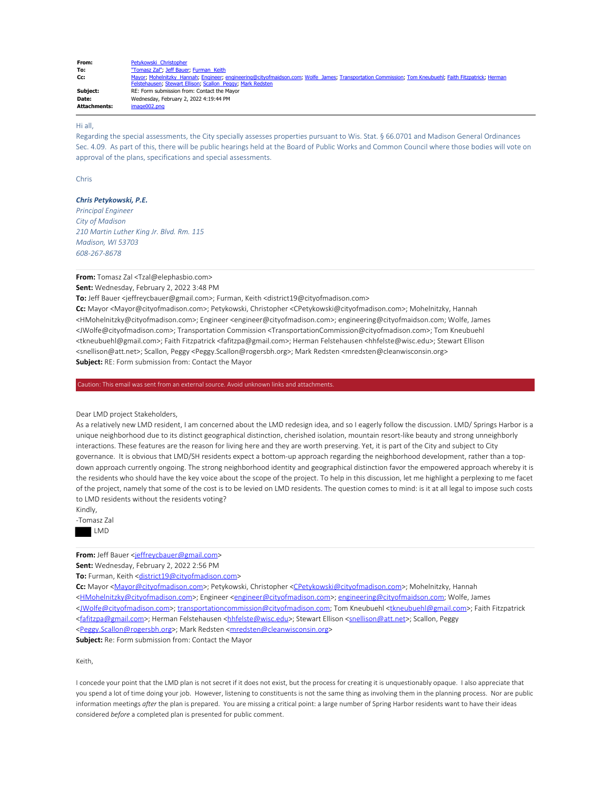| From:               | Petykowski Christopher                                                                                                                               |
|---------------------|------------------------------------------------------------------------------------------------------------------------------------------------------|
| To:                 | "Tomasz Zal"; Jeff Bauer; Furman Keith                                                                                                               |
| Cc:                 | Mayor; Mohelnitzky Hannah; Engineer; engineering@cityofmaidson.com; Wolfe James; Transportation Commission; Tom Kneubuehl; Faith Fitzpatrick; Herman |
|                     | Felstehausen; Stewart Ellison; Scallon Peggy; Mark Redsten                                                                                           |
| Subiect:            | RE: Form submission from: Contact the Mayor                                                                                                          |
| Date:               | Wednesday, February 2, 2022 4:19:44 PM                                                                                                               |
| <b>Attachments:</b> | image002.png                                                                                                                                         |

## Hi all,

Regarding the special assessments, the City specially assesses properties pursuant to Wis. Stat. § 66.0701 and Madison General Ordinances Sec. 4.09. As part of this, there will be public hearings held at the Board of Public Works and Common Council where those bodies will vote on approval of the plans, specifications and special assessments.

Chris

## *Chris Petykowski, P.E.*

*Principal Engineer City of Madison 210 Martin Luther King Jr. Blvd. Rm. 115 Madison, WI 53703 608-267-8678*

**From:** Tomasz Zal <Tzal@elephasbio.com>

# **Sent:** Wednesday, February 2, 2022 3:48 PM

**To:** Jeff Bauer <jeffreycbauer@gmail.com>; Furman, Keith <district19@cityofmadison.com>

**Cc:** Mayor <Mayor@cityofmadison.com>; Petykowski, Christopher <CPetykowski@cityofmadison.com>; Mohelnitzky, Hannah <HMohelnitzky@cityofmadison.com>; Engineer <engineer@cityofmadison.com>; engineering@cityofmaidson.com; Wolfe, James <JWolfe@cityofmadison.com>; Transportation Commission <TransportationCommission@cityofmadison.com>; Tom Kneubuehl <tkneubuehl@gmail.com>; Faith Fitzpatrick <fafitzpa@gmail.com>; Herman Felstehausen <hhfelste@wisc.edu>; Stewart Ellison <snellison@att.net>; Scallon, Peggy <Peggy.Scallon@rogersbh.org>; Mark Redsten <mredsten@cleanwisconsin.org> **Subject:** RE: Form submission from: Contact the Mayor

Caution: This email was sent from an external source. Avoid unknown links and attachments.

### Dear LMD project Stakeholders,

As a relatively new LMD resident, I am concerned about the LMD redesign idea, and so I eagerly follow the discussion. LMD/ Springs Harbor is a unique neighborhood due to its distinct geographical distinction, cherished isolation, mountain resort-like beauty and strong unneighborly interactions. These features are the reason for living here and they are worth preserving. Yet, it is part of the City and subject to City governance. It is obvious that LMD/SH residents expect a bottom-up approach regarding the neighborhood development, rather than a topdown approach currently ongoing. The strong neighborhood identity and geographical distinction favor the empowered approach whereby it is the residents who should have the key voice about the scope of the project. To help in this discussion, let me highlight a perplexing to me facet of the project, namely that some of the cost is to be levied on LMD residents. The question comes to mind: is it at all legal to impose such costs to LMD residents without the residents voting?

Kindly,

-Tomasz Zal



**From:** Jeff Bauer <jeffreycbauer@gmail.com>

**Sent:** Wednesday, February 2, 2022 2:56 PM

To: Furman, Keith <district19@cityofmadison.com>

**Cc:** Mayor <Mayor@cityofmadison.com>; Petykowski, Christopher <CPetykowski@cityofmadison.com>; Mohelnitzky, Hannah <HMohelnitzky@cityofmadison.com>; Engineer <engineer@cityofmadison.com>; engineering@cityofmaidson.com; Wolfe, James <JWolfe@cityofmadison.com>; transportationcommission@cityofmadison.com; Tom Kneubuehl <tkneubuehl@gmail.com>; Faith Fitzpatrick <fafitzpa@gmail.com>; Herman Felstehausen <hhfelste@wisc.edu>; Stewart Ellison <snellison@att.net>; Scallon, Peggy

<Peggy.Scallon@rogersbh.org>; Mark Redsten <mredsten@cleanwisconsin.org>

**Subject:** Re: Form submission from: Contact the Mayor

Keith,

I concede your point that the LMD plan is not secret if it does not exist, but the process for creating it is unquestionably opaque. I also appreciate that you spend a lot of time doing your job. However, listening to constituents is not the same thing as involving them in the planning process. Nor are public information meetings *after* the plan is prepared. You are missing a critical point: a large number of Spring Harbor residents want to have their ideas considered *before* a completed plan is presented for public comment.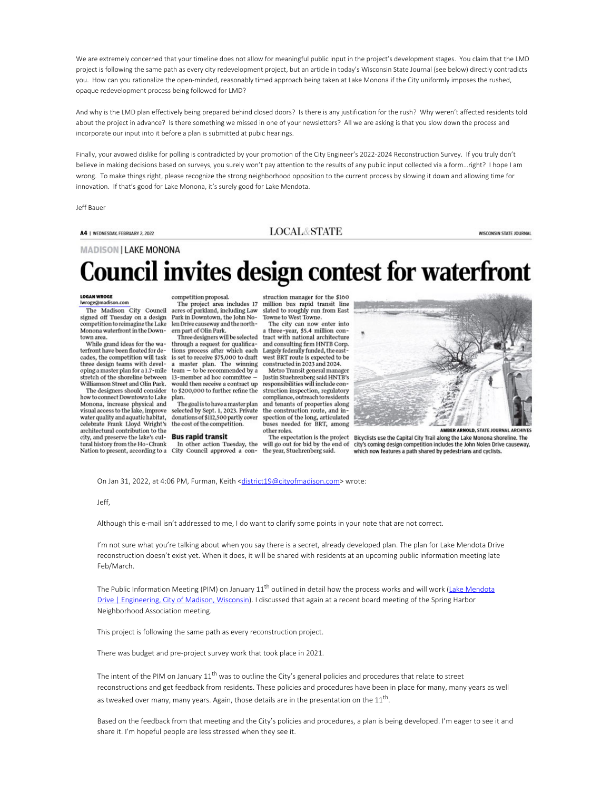We are extremely concerned that your timeline does not allow for meaningful public input in the project's development stages. You claim that the LMD project is following the same path as every city redevelopment project, but an article in today's Wisconsin State Journal (see below) directly contradicts you. How can you rationalize the open-minded, reasonably timed approach being taken at Lake Monona if the City uniformly imposes the rushed, opaque redevelopment process being followed for LMD?

And why is the LMD plan effectively being prepared behind closed doors? Is there is any justification for the rush? Why weren't affected residents told about the project in advance? Is there something we missed in one of your newsletters? All we are asking is that you slow down the process and incorporate our input into it before a plan is submitted at pubic hearings.

Finally, your avowed dislike for polling is contradicted by your promotion of the City Engineer's 2022-2024 Reconstruction Survey. If you truly don't believe in making decisions based on surveys, you surely won't pay attention to the results of any public input collected via a form…right? I hope I am wrong. To make things right, please recognize the strong neighborhood opposition to the current process by slowing it down and allowing time for innovation. If that's good for Lake Monona, it's surely good for Lake Mendota.

Jeff Bauer

A4 | WEDNESDAY, FEBRUARY 2, 2022

**LOCAL&STATE** 

**WISCONSIN STATE JOURNAL** 

**MADISON | LAKE MONONA** 

# **Council invites design contest for waterfront**

#### **LOGAN WROGE** lwroge@madison.com

The Madison City Council signed off Tuesday on a design<br>competition to reimagine the Lake Monona waterfront in the Downtown area.

While grand ideas for the wa-<br>terfront have been floated for decades, the competition will task three design teams with developing a master plan for a 1.7-mile stretch of the shoreline between Williamson Street and Olin Park.

The designers should consider how to connect Downtown to Lake Monona, increase physical and visual access to the lake, improve water quality and aquatic habitat,<br>celebrate Frank Lloyd Wright's architectural contribution to the city, and preserve the lake's cultural history from the Ho-Chunk In other action Tuesday, the will go out for bid by the end of Nation to present, according to a City Council approved a con- the year, Stuehrenberg said.

competition proposal.<br>The project area includes 17<br>acres of parkland, including Law Park in Downtown, the John Nolen Drive causeway and the northern part of Olin Park.

through a request for qualifica-<br>tions process after which each is set to receive  $$75,000$  to draft west BRT route is expected to<br>a master plan. The winning constructed in 2023 and 2024.  $team - to be recommended by a$ 13-member ad hoc committee would then receive a contract up to \$200,000 to further refine the plan. The goal is to have a master plan

selected by Sept. 1, 2023. Private donations of \$112,500 partly cover the cost of the competition.

#### **Bus rapid transit**

struction manager for the \$160 million bus rapid transit line slated to roughly run from East Towne to West Towne.

The city can now enter into m part of Olin Park. <br>
a three-year, \$5.4 million con-<br>
Three designers will be selected tract with national architecture and consulting firm HNTB Corp.<br>Largely federally funded, the eastwest BRT route is expected to be

Metro Transit general manager Justin Stuehrenberg said HNTB's responsibilities will include construction inspection, regulatory compliance, outreach to residents and tenants of properties along the construction route, and in spection of the long, articulated<br>buses needed for BRT, among other roles.

The expectation is the project



AMBER ARNOLD, STATE JOURNAL ARCHIVES

Bicyclists use the Capital City Trail along the Lake Monona shoreline. The city's coming design competition includes the John Nolen Drive causeway, which now features a path shared by pedestrians and cyclists.

On Jan 31, 2022, at 4:06 PM, Furman, Keith <district19@cityofmadison.com> wrote:

Jeff,

Although this e-mail isn't addressed to me, I do want to clarify some points in your note that are not correct.

I'm not sure what you're talking about when you say there is a secret, already developed plan. The plan for Lake Mendota Drive reconstruction doesn't exist yet. When it does, it will be shared with residents at an upcoming public information meeting late Feb/March.

The Public Information Meeting (PIM) on January 11<sup>th</sup> outlined in detail how the process works and will work (Lake Mendota Drive | Engineering, City of Madison, Wisconsin). I discussed that again at a recent board meeting of the Spring Harbor Neighborhood Association meeting.

This project is following the same path as every reconstruction project.

There was budget and pre-project survey work that took place in 2021.

The intent of the PIM on January  $11^{\text{th}}$  was to outline the City's general policies and procedures that relate to street reconstructions and get feedback from residents. These policies and procedures have been in place for many, many years as well as tweaked over many, many years. Again, those details are in the presentation on the  $11^{\text{th}}$ .

Based on the feedback from that meeting and the City's policies and procedures, a plan is being developed. I'm eager to see it and share it. I'm hopeful people are less stressed when they see it.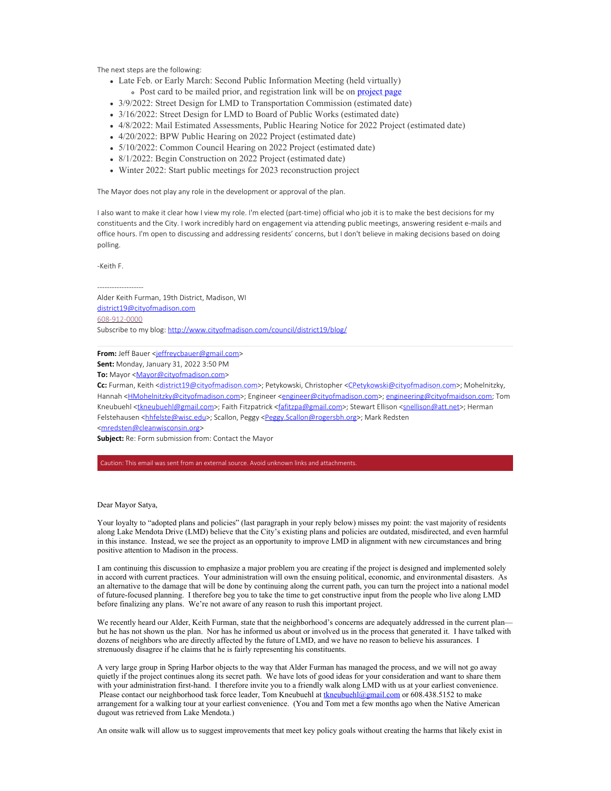The next steps are the following:

- Late Feb. or Early March: Second Public Information Meeting (held virtually)
- Post card to be mailed prior, and registration link will be on project page
- 3/9/2022: Street Design for LMD to Transportation Commission (estimated date)
- 3/16/2022: Street Design for LMD to Board of Public Works (estimated date)
- 4/8/2022: Mail Estimated Assessments, Public Hearing Notice for 2022 Project (estimated date)
- 4/20/2022: BPW Public Hearing on 2022 Project (estimated date)
- 5/10/2022: Common Council Hearing on 2022 Project (estimated date)
- 8/1/2022: Begin Construction on 2022 Project (estimated date)
- Winter 2022: Start public meetings for 2023 reconstruction project

The Mayor does not play any role in the development or approval of the plan.

I also want to make it clear how I view my role. I'm elected (part-time) official who job it is to make the best decisions for my constituents and the City. I work incredibly hard on engagement via attending public meetings, answering resident e-mails and office hours. I'm open to discussing and addressing residents' concerns, but I don't believe in making decisions based on doing polling.

-Keith F.

-------------------

Alder Keith Furman, 19th District, Madison, WI district19@cityofmadison.com 608-912-0000 Subscribe to my blog: http://www.cityofmadison.com/council/district19/blog/

**From:** Jeff Bauer <jeffreycbauer@gmail.com>

**Sent:** Monday, January 31, 2022 3:50 PM

**To:** Mayor <Mayor@cityofmadison.com>

Cc: Furman, Keith <district19@cityofmadison.com>; Petykowski, Christopher <CPetykowski@cityofmadison.com>; Mohelnitzky, Hannah <**HMohelnitzky@cityofmadison.com>**; Engineer <engineer@cityofmadison.com>; engineering@cityofmaidson.com; Tom Kneubuehl <tkneubuehl@gmail.com>; Faith Fitzpatrick <fafitzpa@gmail.com>; Stewart Ellison <snellison@att.net>; Herman Felstehausen <hhfelste@wisc.edu>; Scallon, Peggy <Peggy.Scallon@rogersbh.org>; Mark Redsten <mredsten@cleanwisconsin.org>

**Subject:** Re: Form submission from: Contact the Mayor

Caution: This email was sent from an external source. Avoid unknown links and attachments.

Dear Mayor Satya,

Your loyalty to "adopted plans and policies" (last paragraph in your reply below) misses my point: the vast majority of residents along Lake Mendota Drive (LMD) believe that the City's existing plans and policies are outdated, misdirected, and even harmful in this instance. Instead, we see the project as an opportunity to improve LMD in alignment with new circumstances and bring positive attention to Madison in the process.

I am continuing this discussion to emphasize a major problem you are creating if the project is designed and implemented solely in accord with current practices. Your administration will own the ensuing political, economic, and environmental disasters. As an alternative to the damage that will be done by continuing along the current path, you can turn the project into a national model of future-focused planning. I therefore beg you to take the time to get constructive input from the people who live along LMD before finalizing any plans. We're not aware of any reason to rush this important project.

We recently heard our Alder, Keith Furman, state that the neighborhood's concerns are adequately addressed in the current plan but he has not shown us the plan. Nor has he informed us about or involved us in the process that generated it. I have talked with dozens of neighbors who are directly affected by the future of LMD, and we have no reason to believe his assurances. I strenuously disagree if he claims that he is fairly representing his constituents.

A very large group in Spring Harbor objects to the way that Alder Furman has managed the process, and we will not go away quietly if the project continues along its secret path. We have lots of good ideas for your consideration and want to share them with your administration first-hand. I therefore invite you to a friendly walk along LMD with us at your earliest convenience. Please contact our neighborhood task force leader, Tom Kneubuehl at tkneubuehl@gmail.com or 608.438.5152 to make arrangement for a walking tour at your earliest convenience. (You and Tom met a few months ago when the Native American dugout was retrieved from Lake Mendota.)

An onsite walk will allow us to suggest improvements that meet key policy goals without creating the harms that likely exist in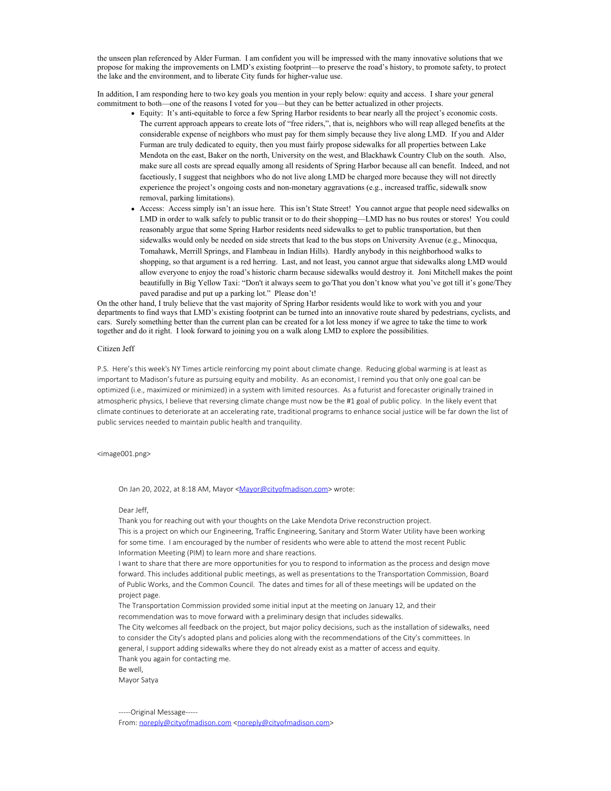the unseen plan referenced by Alder Furman. I am confident you will be impressed with the many innovative solutions that we propose for making the improvements on LMD's existing footprint—to preserve the road's history, to promote safety, to protect the lake and the environment, and to liberate City funds for higher-value use.

In addition, I am responding here to two key goals you mention in your reply below: equity and access. I share your general commitment to both—one of the reasons I voted for you—but they can be better actualized in other projects.

- Equity: It's anti-equitable to force a few Spring Harbor residents to bear nearly all the project's economic costs. The current approach appears to create lots of "free riders,", that is, neighbors who will reap alleged benefits at the considerable expense of neighbors who must pay for them simply because they live along LMD. If you and Alder Furman are truly dedicated to equity, then you must fairly propose sidewalks for all properties between Lake Mendota on the east, Baker on the north, University on the west, and Blackhawk Country Club on the south. Also, make sure all costs are spread equally among all residents of Spring Harbor because all can benefit. Indeed, and not facetiously, I suggest that neighbors who do not live along LMD be charged more because they will not directly experience the project's ongoing costs and non-monetary aggravations (e.g., increased traffic, sidewalk snow removal, parking limitations).
- Access: Access simply isn't an issue here. This isn't State Street! You cannot argue that people need sidewalks on LMD in order to walk safely to public transit or to do their shopping—LMD has no bus routes or stores! You could reasonably argue that some Spring Harbor residents need sidewalks to get to public transportation, but then sidewalks would only be needed on side streets that lead to the bus stops on University Avenue (e.g., Minocqua, Tomahawk, Merrill Springs, and Flambeau in Indian Hills). Hardly anybody in this neighborhood walks to shopping, so that argument is a red herring. Last, and not least, you cannot argue that sidewalks along LMD would allow everyone to enjoy the road's historic charm because sidewalks would destroy it. Joni Mitchell makes the point beautifully in Big Yellow Taxi: "Don't it always seem to go/That you don't know what you've got till it's gone/They paved paradise and put up a parking lot." Please don't!

On the other hand, I truly believe that the vast majority of Spring Harbor residents would like to work with you and your departments to find ways that LMD's existing footprint can be turned into an innovative route shared by pedestrians, cyclists, and cars. Surely something better than the current plan can be created for a lot less money if we agree to take the time to work together and do it right. I look forward to joining you on a walk along LMD to explore the possibilities.

## Citizen Jeff

P.S. Here's this week's NY Times article reinforcing my point about climate change. Reducing global warming is at least as important to Madison's future as pursuing equity and mobility. As an economist, I remind you that only one goal can be optimized (i.e., maximized or minimized) in a system with limited resources. As a futurist and forecaster originally trained in atmospheric physics, I believe that reversing climate change must now be the #1 goal of public policy. In the likely event that climate continues to deteriorate at an accelerating rate, traditional programs to enhance social justice will be far down the list of public services needed to maintain public health and tranquility.

## <image001.png>

On Jan 20, 2022, at 8:18 AM, Mayor <Mayor@cityofmadison.com> wrote:

# Dear Jeff,

Thank you for reaching out with your thoughts on the Lake Mendota Drive reconstruction project. This is a project on which our Engineering, Traffic Engineering, Sanitary and Storm Water Utility have been working for some time. I am encouraged by the number of residents who were able to attend the most recent Public Information Meeting (PIM) to learn more and share reactions.

I want to share that there are more opportunities for you to respond to information as the process and design move forward. This includes additional public meetings, as well as presentations to the Transportation Commission, Board of Public Works, and the Common Council. The dates and times for all of these meetings will be updated on the project page.

The Transportation Commission provided some initial input at the meeting on January 12, and their recommendation was to move forward with a preliminary design that includes sidewalks.

The City welcomes all feedback on the project, but major policy decisions, such as the installation of sidewalks, need to consider the City's adopted plans and policies along with the recommendations of the City's committees. In general, I support adding sidewalks where they do not already exist as a matter of access and equity. Thank you again for contacting me.

Be well,

Mayor Satya

-----Original Message-----

From: noreply@cityofmadison.com <noreply@cityofmadison.com>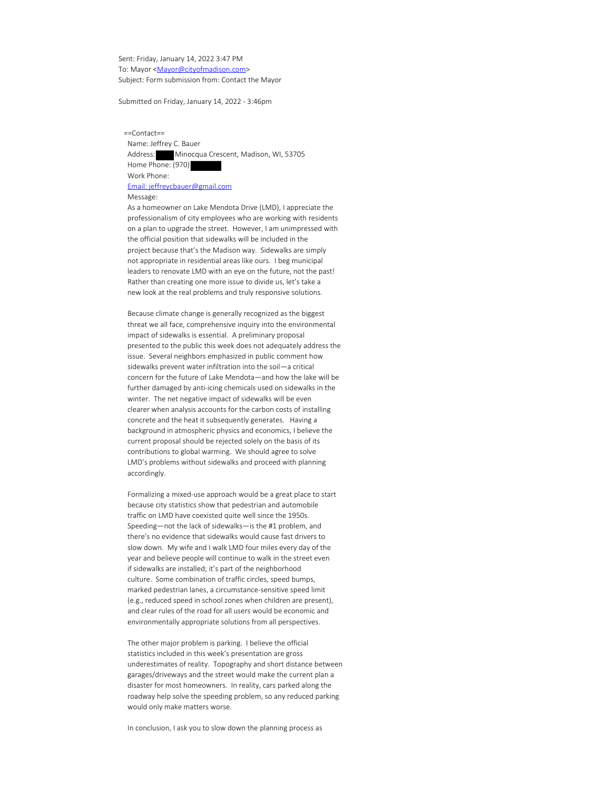Sent: Friday, January 14, 2022 3:47 PM To: Mayor <Mayor@cityofmadison.com> Subject: Form submission from: Contact the Mayor

Submitted on Friday, January 14, 2022 - 3:46pm

 ==Contact== Name: Jeffrey C. Bauer Address: Minocqua Crescent, Madison, WI, 53705 Home Phone: (970) Work Phone: Email: jeffreycbauer@gmail.com Message:

 As a homeowner on Lake Mendota Drive (LMD), I appreciate the professionalism of city employees who are working with residents on a plan to upgrade the street. However, I am unimpressed with the official position that sidewalks will be included in the project because that's the Madison way. Sidewalks are simply not appropriate in residential areas like ours. I beg municipal leaders to renovate LMD with an eye on the future, not the past! Rather than creating one more issue to divide us, let's take a new look at the real problems and truly responsive solutions.

 Because climate change is generally recognized as the biggest threat we all face, comprehensive inquiry into the environmental impact of sidewalks is essential. A preliminary proposal presented to the public this week does not adequately address the issue. Several neighbors emphasized in public comment how sidewalks prevent water infiltration into the soil—a critical concern for the future of Lake Mendota—and how the lake will be further damaged by anti-icing chemicals used on sidewalks in the winter. The net negative impact of sidewalks will be even clearer when analysis accounts for the carbon costs of installing concrete and the heat it subsequently generates. Having a background in atmospheric physics and economics, I believe the current proposal should be rejected solely on the basis of its contributions to global warming. We should agree to solve LMD's problems without sidewalks and proceed with planning accordingly.

 Formalizing a mixed-use approach would be a great place to start because city statistics show that pedestrian and automobile traffic on LMD have coexisted quite well since the 1950s. Speeding—not the lack of sidewalks—is the #1 problem, and there's no evidence that sidewalks would cause fast drivers to slow down. My wife and I walk LMD four miles every day of the year and believe people will continue to walk in the street even if sidewalks are installed; it's part of the neighborhood culture. Some combination of traffic circles, speed bumps, marked pedestrian lanes, a circumstance-sensitive speed limit (e.g., reduced speed in school zones when children are present), and clear rules of the road for all users would be economic and environmentally appropriate solutions from all perspectives.

 The other major problem is parking. I believe the official statistics included in this week's presentation are gross underestimates of reality. Topography and short distance between garages/driveways and the street would make the current plan a disaster for most homeowners. In reality, cars parked along the roadway help solve the speeding problem, so any reduced parking would only make matters worse.

In conclusion, I ask you to slow down the planning process as